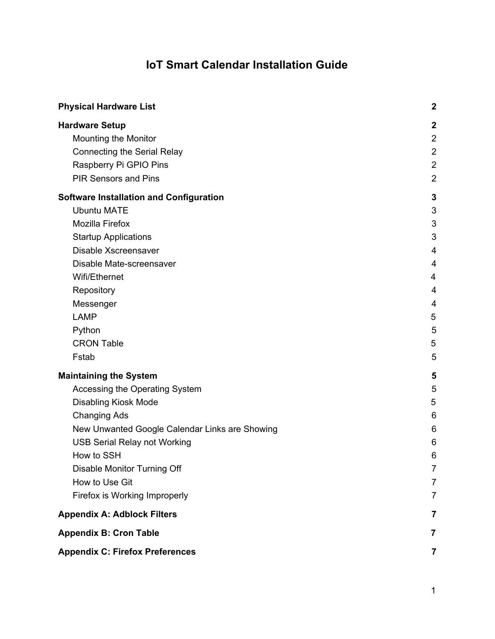# **IoT Smart Calendar Installation Guide**

| <b>Physical Hardware List</b>                                                       | $\boldsymbol{2}$                                     |
|-------------------------------------------------------------------------------------|------------------------------------------------------|
| <b>Hardware Setup</b><br>Mounting the Monitor<br><b>Connecting the Serial Relay</b> | $\boldsymbol{2}$<br>$\overline{2}$<br>$\overline{2}$ |
| Raspberry Pi GPIO Pins<br><b>PIR Sensors and Pins</b>                               | $\overline{2}$<br>$\overline{2}$                     |
| <b>Software Installation and Configuration</b>                                      | $\mathbf{3}$                                         |
| <b>Ubuntu MATE</b>                                                                  | 3                                                    |
| <b>Mozilla Firefox</b>                                                              | 3                                                    |
| <b>Startup Applications</b>                                                         | 3                                                    |
| Disable Xscreensaver                                                                | 4                                                    |
| Disable Mate-screensaver                                                            | 4                                                    |
| Wifi/Ethernet                                                                       | 4                                                    |
| Repository                                                                          | 4                                                    |
| Messenger                                                                           | 4                                                    |
| <b>LAMP</b>                                                                         | 5                                                    |
| Python                                                                              | 5                                                    |
| <b>CRON Table</b>                                                                   | 5                                                    |
| Fstab                                                                               | 5                                                    |
| <b>Maintaining the System</b>                                                       | 5                                                    |
| Accessing the Operating System                                                      | 5                                                    |
| <b>Disabling Kiosk Mode</b>                                                         | 5                                                    |
| <b>Changing Ads</b>                                                                 | 6                                                    |
| New Unwanted Google Calendar Links are Showing                                      | 6                                                    |
| <b>USB Serial Relay not Working</b>                                                 | 6                                                    |
| How to SSH                                                                          | 6                                                    |
| Disable Monitor Turning Off                                                         | $\overline{7}$                                       |
| How to Use Git                                                                      | 7                                                    |
| Firefox is Working Improperly                                                       | 7                                                    |
| <b>Appendix A: Adblock Filters</b>                                                  | 7                                                    |
| <b>Appendix B: Cron Table</b>                                                       | 7                                                    |
| <b>Appendix C: Firefox Preferences</b>                                              | 7                                                    |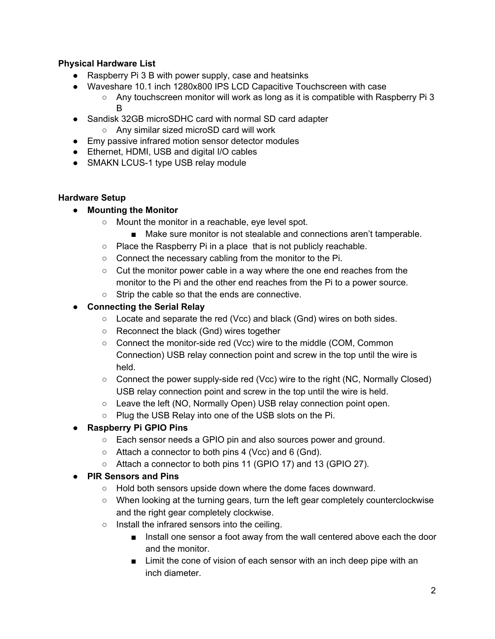### <span id="page-1-4"></span>**Physical Hardware List**

- Raspberry Pi 3 B with power supply, case and heatsinks
- Waveshare 10.1 inch 1280x800 IPS LCD Capacitive Touchscreen with case
	- Any touchscreen monitor will work as long as it is compatible with Raspberry Pi 3 B
- Sandisk 32GB microSDHC card with normal SD card adapter
	- Any similar sized microSD card will work
- Emy passive infrared motion sensor detector modules
- Ethernet, HDMI, USB and digital I/O cables
- SMAKN LCUS-1 type USB relay module

## <span id="page-1-1"></span><span id="page-1-0"></span>**Hardware Setup**

- **● Mounting the Monitor**
	- Mount the monitor in a reachable, eye level spot.
		- Make sure monitor is not stealable and connections aren't tamperable.
	- Place the Raspberry Pi in a place that is not publicly reachable.
	- Connect the necessary cabling from the monitor to the Pi.
	- Cut the monitor power cable in a way where the one end reaches from the monitor to the Pi and the other end reaches from the Pi to a power source.
	- Strip the cable so that the ends are connective.

# <span id="page-1-3"></span>**● Connecting the Serial Relay**

- Locate and separate the red (Vcc) and black (Gnd) wires on both sides.
- Reconnect the black (Gnd) wires together
- Connect the monitor-side red (Vcc) wire to the middle (COM, Common Connection) USB relay connection point and screw in the top until the wire is held.
- Connect the power supply-side red (Vcc) wire to the right (NC, Normally Closed) USB relay connection point and screw in the top until the wire is held.
- Leave the left (NO, Normally Open) USB relay connection point open.
- Plug the USB Relay into one of the USB slots on the Pi.

# <span id="page-1-5"></span>**● Raspberry Pi GPIO Pins**

- Each sensor needs a GPIO pin and also sources power and ground.
- Attach a connector to both pins 4 (Vcc) and 6 (Gnd).
- Attach a connector to both pins 11 (GPIO 17) and 13 (GPIO 27).

# <span id="page-1-2"></span>**● PIR Sensors and Pins**

- Hold both sensors upside down where the dome faces downward.
- When looking at the turning gears, turn the left gear completely counterclockwise and the right gear completely clockwise.
- Install the infrared sensors into the ceiling.
	- Install one sensor a foot away from the wall centered above each the door and the monitor.
	- Limit the cone of vision of each sensor with an inch deep pipe with an inch diameter.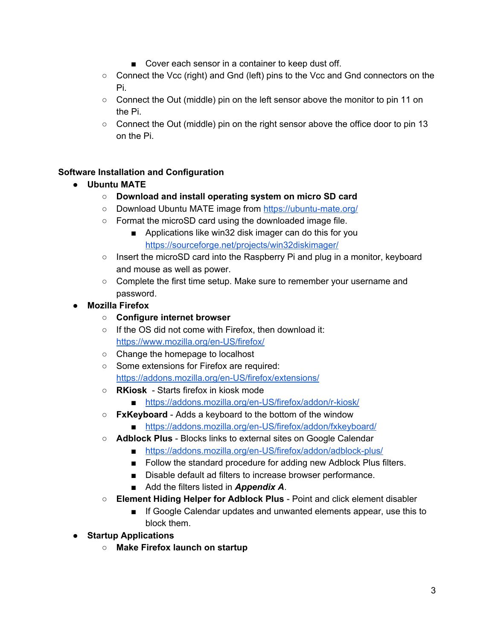- Cover each sensor in a container to keep dust off.
- Connect the Vcc (right) and Gnd (left) pins to the Vcc and Gnd connectors on the Pi.
- Connect the Out (middle) pin on the left sensor above the monitor to pin 11 on the Pi.
- Connect the Out (middle) pin on the right sensor above the office door to pin 13 on the Pi.

#### <span id="page-2-2"></span><span id="page-2-0"></span>**Software Installation and Configuration**

- **● Ubuntu MATE**
	- **○ Download and install operating system on micro SD card**
	- Download Ubuntu MATE image from <https://ubuntu-mate.org/>
	- Format the microSD card using the downloaded image file.
		- Applications like win32 disk imager can do this for you <https://sourceforge.net/projects/win32diskimager/>
	- Insert the microSD card into the Raspberry Pi and plug in a monitor, keyboard and mouse as well as power.
	- Complete the first time setup. Make sure to remember your username and password.
- <span id="page-2-3"></span>**● Mozilla Firefox**
	- **○ Configure internet browser**
	- **○** If the OS did not come with Firefox, then download it: <https://www.mozilla.org/en-US/firefox/>
	- Change the homepage to localhost
	- **○** Some extensions for Firefox are required: <https://addons.mozilla.org/en-US/firefox/extensions/>
	- **○ RKiosk** - Starts firefox in kiosk mode
		- <https://addons.mozilla.org/en-US/firefox/addon/r-kiosk/>
	- **○ FxKeyboard** Adds a keyboard to the bottom of the window
		- <https://addons.mozilla.org/en-US/firefox/addon/fxkeyboard/>
	- **○ Adblock Plus** Blocks links to external sites on Google Calendar
		- <https://addons.mozilla.org/en-US/firefox/addon/adblock-plus/>
		- Follow the standard procedure for adding new Adblock Plus filters.
		- Disable default ad filters to increase browser performance.
		- Add the filters listed in **Appendix A**.
	- **○ Element Hiding Helper for Adblock Plus** Point and click element disabler
		- If Google Calendar updates and unwanted elements appear, use this to block them.
- <span id="page-2-1"></span>**● Startup Applications**
	- **○ Make Firefox launch on startup**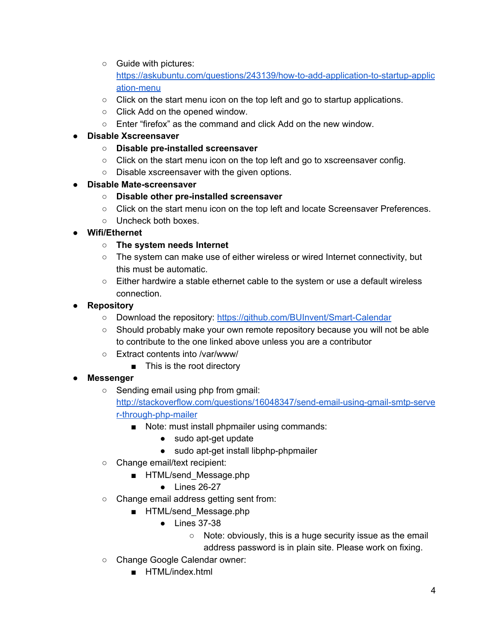- Guide with pictures: [https://askubuntu.com/questions/243139/how-to-add-application-to-startup-applic](https://askubuntu.com/questions/243139/how-to-add-application-to-startup-application-menu) [ation-menu](https://askubuntu.com/questions/243139/how-to-add-application-to-startup-application-menu)
- $\circ$  Click on the start menu icon on the top left and go to startup applications.
- Click Add on the opened window.
- $\circ$  Enter "firefox" as the command and click Add on the new window.
- <span id="page-3-1"></span>**● Disable Xscreensaver**
	- **○ Disable pre-installed screensaver**
	- $\circ$  Click on the start menu icon on the top left and go to xscreensaver config.
	- Disable xscreensaver with the given options.
- <span id="page-3-3"></span>**● Disable Mate-screensaver**
	- **○ Disable other pre-installed screensaver**
	- Click on the start menu icon on the top left and locate Screensaver Preferences.
	- Uncheck both boxes.
- <span id="page-3-2"></span>**● Wifi/Ethernet**
	- **○ The system needs Internet**
	- The system can make use of either wireless or wired Internet connectivity, but this must be automatic.
	- Either hardwire a stable ethernet cable to the system or use a default wireless connection.
- <span id="page-3-4"></span>**● Repository**
	- Download the repository: <https://github.com/BUInvent/Smart-Calendar>
	- Should probably make your own remote repository because you will not be able to contribute to the one linked above unless you are a contributor
	- Extract contents into /var/www/
		- This is the root directory
- <span id="page-3-0"></span>**● Messenger**
	- **○** Sending email using php from gmail: [http://stackoverflow.com/questions/16048347/send-email-using-gmail-smtp-serve](http://stackoverflow.com/questions/16048347/send-email-using-gmail-smtp-server-through-php-mailer) [r-through-php-mailer](http://stackoverflow.com/questions/16048347/send-email-using-gmail-smtp-server-through-php-mailer)
		- Note: must install phpmailer using commands:
			- sudo apt-get update
			- sudo apt-get install libphp-phpmailer
	- Change email/text recipient:
		- HTML/send\_Message.php
			- Lines 26-27
	- Change email address getting sent from:
		- HTML/send Message.php
			- Lines 37-38
				- Note: obviously, this is a huge security issue as the email address password is in plain site. Please work on fixing.
	- Change Google Calendar owner:
		- HTML/index.html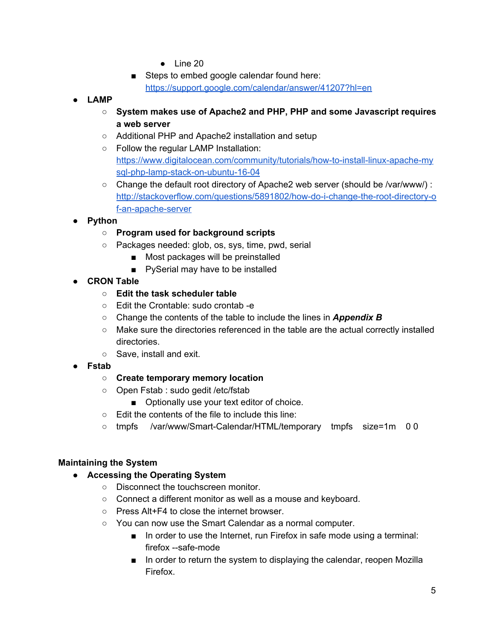- Line 20
- Steps to embed google calendar found here: <https://support.google.com/calendar/answer/41207?hl=en>
- <span id="page-4-3"></span>**● LAMP**
	- **○ System makes use of Apache2 and PHP, PHP and some Javascript requires a web server**
	- Additional PHP and Apache2 installation and setup
	- **○** Follow the regular LAMP Installation: [https://www.digitalocean.com/community/tutorials/how-to-install-linux-apache-my](https://www.digitalocean.com/community/tutorials/how-to-install-linux-apache-mysql-php-lamp-stack-on-ubuntu-16-04) [sql-php-lamp-stack-on-ubuntu-16-04](https://www.digitalocean.com/community/tutorials/how-to-install-linux-apache-mysql-php-lamp-stack-on-ubuntu-16-04)
	- Change the default root directory of Apache2 web server (should be /var/www/) : [http://stackoverflow.com/questions/5891802/how-do-i-change-the-root-directory-o](http://stackoverflow.com/questions/5891802/how-do-i-change-the-root-directory-of-an-apache-server) [f-an-apache-server](http://stackoverflow.com/questions/5891802/how-do-i-change-the-root-directory-of-an-apache-server)

#### <span id="page-4-5"></span>**● Python**

- **○ Program used for background scripts**
- **○** Packages needed: glob, os, sys, time, pwd, serial
	- Most packages will be preinstalled
	- PySerial may have to be installed
- <span id="page-4-1"></span>**● CRON Table**
	- **○ Edit the task scheduler table**
	- Edit the Crontable: sudo crontab -e
	- Change the contents of the table to include the lines in *Appendix B*
	- Make sure the directories referenced in the table are the actual correctly installed directories.
	- Save, install and exit.
- <span id="page-4-2"></span>**● Fstab**
	- **○ Create temporary memory location**
	- Open Fstab : sudo gedit /etc/fstab
		- Optionally use your text editor of choice.
	- Edit the contents of the file to include this line:
	- tmpfs /var/www/Smart-Calendar/HTML/temporary tmpfs size=1m 0 0

#### <span id="page-4-4"></span><span id="page-4-0"></span>**Maintaining the System**

- **● Accessing the Operating System**
	- Disconnect the touchscreen monitor.
	- Connect a different monitor as well as a mouse and keyboard.
	- Press Alt+F4 to close the internet browser.
	- You can now use the Smart Calendar as a normal computer.
		- In order to use the Internet, run Firefox in safe mode using a terminal: firefox --safe-mode
		- In order to return the system to displaying the calendar, reopen Mozilla Firefox.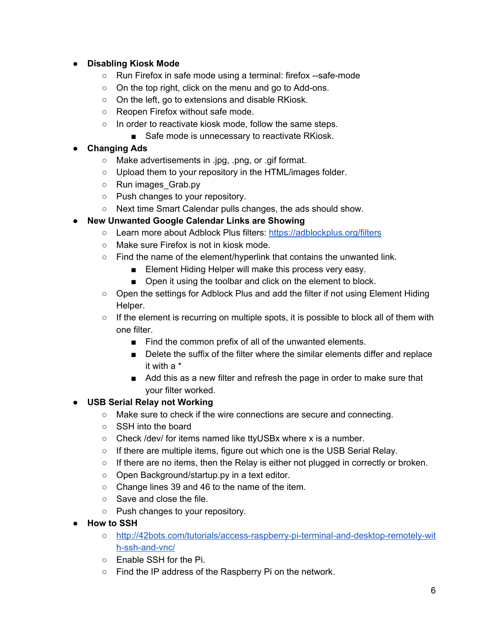## <span id="page-5-2"></span>**● Disabling Kiosk Mode**

- Run Firefox in safe mode using a terminal: firefox --safe-mode
- On the top right, click on the menu and go to Add-ons.
- On the left, go to extensions and disable RKiosk.
- Reopen Firefox without safe mode.
- In order to reactivate kiosk mode, follow the same steps.
	- Safe mode is unnecessary to reactivate RKiosk.

## <span id="page-5-4"></span>**● Changing Ads**

- Make advertisements in .jpg, .png, or .gif format.
- Upload them to your repository in the HTML/images folder.
- Run images Grab.py
- Push changes to your repository.
- Next time Smart Calendar pulls changes, the ads should show.

# <span id="page-5-0"></span>**● New Unwanted Google Calendar Links are Showing**

- Learn more about Adblock Plus filters: <https://adblockplus.org/filters>
- Make sure Firefox is not in kiosk mode.
- Find the name of the element/hyperlink that contains the unwanted link.
	- Element Hiding Helper will make this process very easy.
	- Open it using the toolbar and click on the element to block.
- Open the settings for Adblock Plus and add the filter if not using Element Hiding Helper.
- $\circ$  If the element is recurring on multiple spots, it is possible to block all of them with one filter.
	- Find the common prefix of all of the unwanted elements.
	- Delete the suffix of the filter where the similar elements differ and replace it with a \*
	- Add this as a new filter and refresh the page in order to make sure that your filter worked.

# <span id="page-5-3"></span>**● USB Serial Relay not Working**

- Make sure to check if the wire connections are secure and connecting.
- SSH into the board
- Check /dev/ for items named like ttyUSBx where x is a number.
- If there are multiple items, figure out which one is the USB Serial Relay.
- $\circ$  If there are no items, then the Relay is either not plugged in correctly or broken.
- Open Background/startup.py in a text editor.
- Change lines 39 and 46 to the name of the item.
- Save and close the file.
- Push changes to your repository.
- <span id="page-5-1"></span>**● How to SSH**
	- [http://42bots.com/tutorials/access-raspberry-pi-terminal-and-desktop-remotely-wit](http://42bots.com/tutorials/access-raspberry-pi-terminal-and-desktop-remotely-with-ssh-and-vnc/) [h-ssh-and-vnc/](http://42bots.com/tutorials/access-raspberry-pi-terminal-and-desktop-remotely-with-ssh-and-vnc/)
	- Enable SSH for the Pi.
	- Find the IP address of the Raspberry Pi on the network.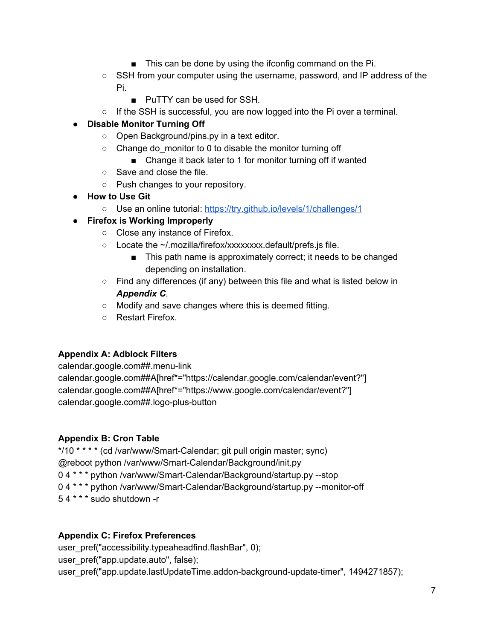- This can be done by using the ifconfig command on the Pi.
- SSH from your computer using the username, password, and IP address of the Pi.
	- PuTTY can be used for SSH.
- If the SSH is successful, you are now logged into the Pi over a terminal.

# <span id="page-6-3"></span>**● Disable Monitor Turning Off**

- Open Background/pins.py in a text editor.
- $\circ$  Change do monitor to 0 to disable the monitor turning off
	- Change it back later to 1 for monitor turning off if wanted
- Save and close the file.
- Push changes to your repository.
- <span id="page-6-5"></span>**● How to Use Git**
	- **○** Use an online tutorial: <https://try.github.io/levels/1/challenges/1>

## <span id="page-6-1"></span>**● Firefox is Working Improperly**

- Close any instance of Firefox.
- Locate the ~/.mozilla/firefox/xxxxxxxx.default/prefs.js file.
	- This path name is approximately correct; it needs to be changed depending on installation.
- Find any differences (if any) between this file and what is listed below in *Appendix C*.
- Modify and save changes where this is deemed fitting.
- Restart Firefox.

#### <span id="page-6-4"></span>**Appendix A: Adblock Filters**

calendar.google.com##.menu-link calendar.google.com##A[href\*="https://calendar.google.com/calendar/event?"] calendar.google.com##A[href\*="https://www.google.com/calendar/event?"] calendar.google.com##.logo-plus-button

# <span id="page-6-2"></span>**Appendix B: Cron Table**

\*/10 \* \* \* \* (cd /var/www/Smart-Calendar; git pull origin master; sync) @reboot python /var/www/Smart-Calendar/Background/init.py 0 4 \* \* \* python /var/www/Smart-Calendar/Background/startup.py --stop 0 4 \* \* \* python /var/www/Smart-Calendar/Background/startup.py --monitor-off 5 4 \* \* \* sudo shutdown -r

#### <span id="page-6-0"></span>**Appendix C: Firefox Preferences**

user\_pref("accessibility.typeaheadfind.flashBar", 0); user\_pref("app.update.auto", false); user\_pref("app.update.lastUpdateTime.addon-background-update-timer", 1494271857);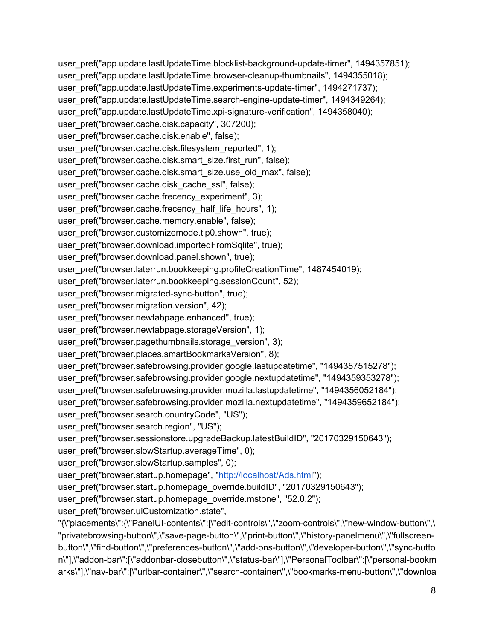user\_pref("app.update.lastUpdateTime.blocklist-background-update-timer", 1494357851); user\_pref("app.update.lastUpdateTime.browser-cleanup-thumbnails", 1494355018); user\_pref("app.update.lastUpdateTime.experiments-update-timer", 1494271737); user\_pref("app.update.lastUpdateTime.search-engine-update-timer", 1494349264); user\_pref("app.update.lastUpdateTime.xpi-signature-verification", 1494358040); user\_pref("browser.cache.disk.capacity", 307200); user\_pref("browser.cache.disk.enable", false); user\_pref("browser.cache.disk.filesystem\_reported", 1); user\_pref("browser.cache.disk.smart\_size.first\_run", false); user\_pref("browser.cache.disk.smart\_size.use\_old\_max", false); user\_pref("browser.cache.disk\_cache\_ssl", false); user\_pref("browser.cache.frecency\_experiment", 3); user\_pref("browser.cache.frecency\_half\_life\_hours", 1); user\_pref("browser.cache.memory.enable", false); user\_pref("browser.customizemode.tip0.shown", true); user\_pref("browser.download.importedFromSqlite", true); user\_pref("browser.download.panel.shown", true); user\_pref("browser.laterrun.bookkeeping.profileCreationTime", 1487454019); user\_pref("browser.laterrun.bookkeeping.sessionCount", 52); user\_pref("browser.migrated-sync-button", true); user\_pref("browser.migration.version", 42); user\_pref("browser.newtabpage.enhanced", true); user\_pref("browser.newtabpage.storageVersion", 1); user\_pref("browser.pagethumbnails.storage\_version", 3); user\_pref("browser.places.smartBookmarksVersion", 8); user\_pref("browser.safebrowsing.provider.google.lastupdatetime", "1494357515278"); user\_pref("browser.safebrowsing.provider.google.nextupdatetime", "1494359353278"); user\_pref("browser.safebrowsing.provider.mozilla.lastupdatetime", "1494356052184"); user\_pref("browser.safebrowsing.provider.mozilla.nextupdatetime", "1494359652184"); user\_pref("browser.search.countryCode", "US"); user\_pref("browser.search.region", "US"); user\_pref("browser.sessionstore.upgradeBackup.latestBuildID", "20170329150643"); user\_pref("browser.slowStartup.averageTime", 0); user\_pref("browser.slowStartup.samples", 0); user\_pref("browser.startup.homepage", ["http://localhost/Ads.html"](http://localhost/Ads.html)); user\_pref("browser.startup.homepage\_override.buildID", "20170329150643"); user\_pref("browser.startup.homepage\_override.mstone", "52.0.2"); user\_pref("browser.uiCustomization.state", "{\"placements\":{\"PanelUI-contents\":[\"edit-controls\",\"zoom-controls\",\"new-window-button\",\ "privatebrowsing-button\",\"save-page-button\",\"print-button\",\"history-panelmenu\",\"fullscreenbutton\",\"find-button\",\"preferences-button\",\"add-ons-button\",\"developer-button\",\"sync-butto n\"],\"addon-bar\":[\"addonbar-closebutton\",\"status-bar\"],\"PersonalToolbar\":[\"personal-bookm

arks\"],\"nav-bar\":[\"urlbar-container\",\"search-container\",\"bookmarks-menu-button\",\"downloa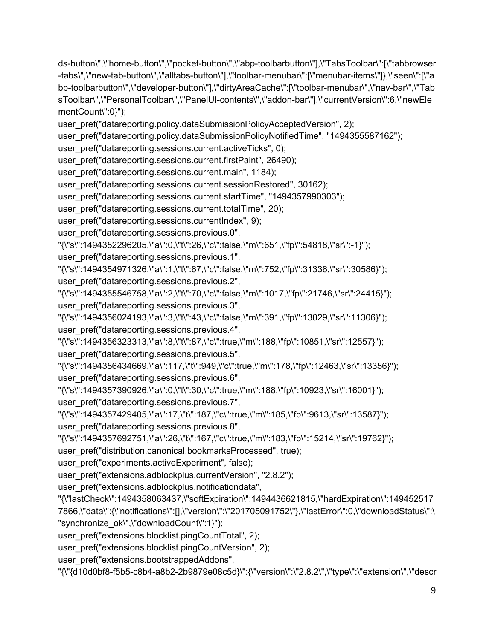ds-button\",\"home-button\",\"pocket-button\",\"abp-toolbarbutton\"],\"TabsToolbar\":[\"tabbrowser -tabs\",\"new-tab-button\",\"alltabs-button\"],\"toolbar-menubar\":[\"menubar-items\"]},\"seen\":[\"a bp-toolbarbutton\",\"developer-button\"],\"dirtyAreaCache\":[\"toolbar-menubar\",\"nav-bar\",\"Tab sToolbar\",\"PersonalToolbar\",\"PanelUI-contents\",\"addon-bar\"],\"currentVersion\":6,\"newEle mentCount\":0}");

user\_pref("datareporting.policy.dataSubmissionPolicyAcceptedVersion", 2);

user\_pref("datareporting.policy.dataSubmissionPolicyNotifiedTime", "1494355587162");

user\_pref("datareporting.sessions.current.activeTicks", 0);

user\_pref("datareporting.sessions.current.firstPaint", 26490);

user\_pref("datareporting.sessions.current.main", 1184);

user\_pref("datareporting.sessions.current.sessionRestored", 30162);

user\_pref("datareporting.sessions.current.startTime", "1494357990303");

user\_pref("datareporting.sessions.current.totalTime", 20);

user\_pref("datareporting.sessions.currentIndex", 9);

user\_pref("datareporting.sessions.previous.0",

"{\"s\":1494352296205,\"a\":0,\"t\":26,\"c\":false,\"m\":651,\"fp\":54818,\"sr\":-1}");

user\_pref("datareporting.sessions.previous.1",

"{\"s\":1494354971326,\"a\":1,\"t\":67,\"c\":false,\"m\":752,\"fp\":31336,\"sr\":30586}"); user\_pref("datareporting.sessions.previous.2",

"{\"s\":1494355546758,\"a\":2,\"t\":70,\"c\":false,\"m\":1017,\"fp\":21746,\"sr\":24415}"); user\_pref("datareporting.sessions.previous.3",

"{\"s\":1494356024193,\"a\":3,\"t\":43,\"c\":false,\"m\":391,\"fp\":13029,\"sr\":11306}");

user\_pref("datareporting.sessions.previous.4",

"{\"s\":1494356323313,\"a\":8,\"t\":87,\"c\":true,\"m\":188,\"fp\":10851,\"sr\":12557}"); user\_pref("datareporting.sessions.previous.5",

"{\"s\":1494356434669,\"a\":117,\"t\":949,\"c\":true,\"m\":178,\"fp\":12463,\"sr\":13356}"); user\_pref("datareporting.sessions.previous.6",

"{\"s\":1494357390926,\"a\":0,\"t\":30,\"c\":true,\"m\":188,\"fp\":10923,\"sr\":16001}"); user\_pref("datareporting.sessions.previous.7",

"{\"s\":1494357429405,\"a\":17,\"t\":187,\"c\":true,\"m\":185,\"fp\":9613,\"sr\":13587}"); user\_pref("datareporting.sessions.previous.8",

"{\"s\":1494357692751,\"a\":26,\"t\":167,\"c\":true,\"m\":183,\"fp\":15214,\"sr\":19762}");

user\_pref("distribution.canonical.bookmarksProcessed", true);

user\_pref("experiments.activeExperiment", false);

user\_pref("extensions.adblockplus.currentVersion", "2.8.2");

user\_pref("extensions.adblockplus.notificationdata",

"{\"lastCheck\":1494358063437,\"softExpiration\":1494436621815,\"hardExpiration\":149452517 7866,\"data\":{\"notifications\":[],\"version\":\"201705091752\"},\"lastError\":0,\"downloadStatus\":\ "synchronize\_ok\",\"downloadCount\":1}");

user\_pref("extensions.blocklist.pingCountTotal", 2);

user\_pref("extensions.blocklist.pingCountVersion", 2);

user\_pref("extensions.bootstrappedAddons",

"{\"{d10d0bf8-f5b5-c8b4-a8b2-2b9879e08c5d}\":{\"version\":\"2.8.2\",\"type\":\"extension\",\"descr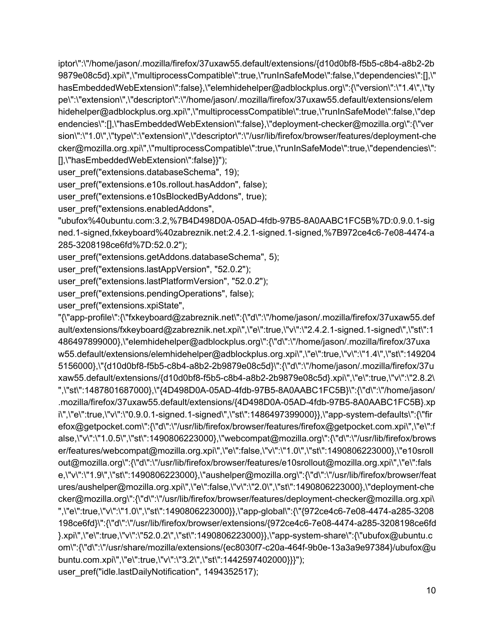iptor\":\"/home/jason/.mozilla/firefox/37uxaw55.default/extensions/{d10d0bf8-f5b5-c8b4-a8b2-2b 9879e08c5d}.xpi\",\"multiprocessCompatible\":true,\"runInSafeMode\":false,\"dependencies\":[],\" hasEmbeddedWebExtension\":false},\"elemhidehelper@adblockplus.org\":{\"version\":\"1.4\",\"ty pe\":\"extension\",\"descriptor\":\"/home/jason/.mozilla/firefox/37uxaw55.default/extensions/elem hidehelper@adblockplus.org.xpi\",\"multiprocessCompatible\":true,\"runInSafeMode\":false,\"dep endencies\":[],\"hasEmbeddedWebExtension\":false},\"deployment-checker@mozilla.org\":{\"ver sion\":\"1.0\",\"type\":\"extension\",\"descriptor\":\"/usr/lib/firefox/browser/features/deployment-che cker@mozilla.org.xpi\",\"multiprocessCompatible\":true,\"runInSafeMode\":true,\"dependencies\": [],\"hasEmbeddedWebExtension\":false}}");

user\_pref("extensions.databaseSchema", 19);

user\_pref("extensions.e10s.rollout.hasAddon", false);

user\_pref("extensions.e10sBlockedByAddons", true);

user\_pref("extensions.enabledAddons",

"ubufox%40ubuntu.com:3.2,%7B4D498D0A-05AD-4fdb-97B5-8A0AABC1FC5B%7D:0.9.0.1-sig ned.1-signed,fxkeyboard%40zabreznik.net:2.4.2.1-signed.1-signed,%7B972ce4c6-7e08-4474-a 285-3208198ce6fd%7D:52.0.2");

user\_pref("extensions.getAddons.databaseSchema", 5);

user\_pref("extensions.lastAppVersion", "52.0.2");

user\_pref("extensions.lastPlatformVersion", "52.0.2");

user\_pref("extensions.pendingOperations", false);

user\_pref("extensions.xpiState",

"{\"app-profile\":{\"fxkeyboard@zabreznik.net\":{\"d\":\"/home/jason/.mozilla/firefox/37uxaw55.def ault/extensions/fxkeyboard@zabreznik.net.xpi\",\"e\":true,\"v\":\"2.4.2.1-signed.1-signed\",\"st\":1 486497899000},\"elemhidehelper@adblockplus.org\":{\"d\":\"/home/jason/.mozilla/firefox/37uxa w55.default/extensions/elemhidehelper@adblockplus.org.xpi\",\"e\":true,\"v\":\"1.4\",\"st\":149204 5156000},\"{d10d0bf8-f5b5-c8b4-a8b2-2b9879e08c5d}\":{\"d\":\"/home/jason/.mozilla/firefox/37u xaw55.default/extensions/{d10d0bf8-f5b5-c8b4-a8b2-2b9879e08c5d}.xpi\",\"e\":true,\"v\":\"2.8.2\ ",\"st\":1487801687000},\"{4D498D0A-05AD-4fdb-97B5-8A0AABC1FC5B}\":{\"d\":\"/home/jason/ .mozilla/firefox/37uxaw55.default/extensions/{4D498D0A-05AD-4fdb-97B5-8A0AABC1FC5B}.xp i\",\"e\":true,\"v\":\"0.9.0.1-signed.1-signed\",\"st\":1486497399000}},\"app-system-defaults\":{\"fir efox@getpocket.com\":{\"d\":\"/usr/lib/firefox/browser/features/firefox@getpocket.com.xpi\",\"e\":f alse,\"v\":\"1.0.5\",\"st\":1490806223000},\"webcompat@mozilla.org\":{\"d\":\"/usr/lib/firefox/brows er/features/webcompat@mozilla.org.xpi\",\"e\":false,\"v\":\"1.0\",\"st\":1490806223000},\"e10sroll out@mozilla.org\":{\"d\":\"/usr/lib/firefox/browser/features/e10srollout@mozilla.org.xpi\",\"e\":fals e,\"v\":\"1.9\",\"st\":1490806223000},\"aushelper@mozilla.org\":{\"d\":\"/usr/lib/firefox/browser/feat ures/aushelper@mozilla.org.xpi\",\"e\":false,\"v\":\"2.0\",\"st\":1490806223000},\"deployment-che cker@mozilla.org\":{\"d\":\"/usr/lib/firefox/browser/features/deployment-checker@mozilla.org.xpi\ ",\"e\":true,\"v\":\"1.0\",\"st\":1490806223000}},\"app-global\":{\"{972ce4c6-7e08-4474-a285-3208 198ce6fd}\":{\"d\":\"/usr/lib/firefox/browser/extensions/{972ce4c6-7e08-4474-a285-3208198ce6fd }.xpi\",\"e\":true,\"v\":\"52.0.2\",\"st\":1490806223000}},\"app-system-share\":{\"ubufox@ubuntu.c om\":{\"d\":\"/usr/share/mozilla/extensions/{ec8030f7-c20a-464f-9b0e-13a3a9e97384}/ubufox@u buntu.com.xpi\",\"e\":true,\"v\":\"3.2\",\"st\":1442597402000}}}"); user\_pref("idle.lastDailyNotification", 1494352517);